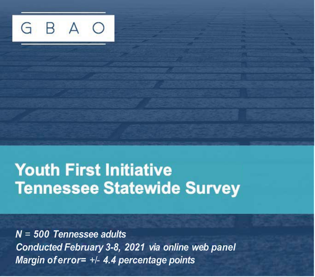BA G

# **Youth First Initiative Tennessee Statewide Survey**

*N* = *500 Tennessee adults Conducted February 3-8, 2021 via online web panel Margin of error=* +/- *4.4 percentage points*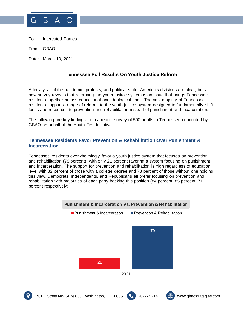

To: Interested Parties

From: GBAO

Date: March 10, 2021

# **Tennessee Poll Results On Youth Justice Reform**

After a year of the pandemic, protests, and political strife, America's divisions are clear, but a new survey reveals that reforming the youth justice system is an issue that brings Tennessee residents together across educational and ideological lines. The vast majority of Tennessee residents support a range of reforms to the youth justice system designed to fundamentally shift focus and resources to prevention and rehabilitation instead of punishment and incarceration.

The following are key findings from a recent survey of 500 adults in Tennessee conducted by GBAO on behalf of the Youth First Initiative.

# **Tennessee Residents Favor Prevention & Rehabilitation Over Punishment & Incarceration**

Tennessee residents overwhelmingly favor a youth justice system that focuses on prevention and rehabilitation (79 percent), with only 21 percent favoring a system focusing on punishment and incarceration. The support for prevention and rehabilitation is high regardless of education level with 82 percent of those with a college degree and 78 percent of those without one holding this view. Democrats, independents, and Republicans all prefer focusing on prevention and rehabilitation with majorities of each party backing this position (84 percent, 85 percent, 71 percent respectively).

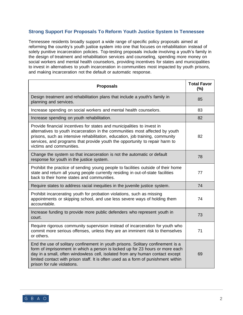# **Strong Support For Proposals To Reform Youth Justice System In Tennessee**

Tennessee residents broadly support a wide range of specific policy proposals aimed at reforming the country's youth justice system into one that focuses on rehabilitation instead of solely punitive incarceration policies. Top-testing proposals include involving a youth's family in the design of treatment and rehabilitation services and counseling, spending more money on social workers and mental health counselors, providing incentives for states and municipalities to invest in alternatives to youth incarceration in communities most impacted by youth prisons, and making incarceration not the default or automatic response.

| <b>Proposals</b>                                                                                                                                                                                                                                                                                                                                                       | <b>Total Favor</b><br>(%) |
|------------------------------------------------------------------------------------------------------------------------------------------------------------------------------------------------------------------------------------------------------------------------------------------------------------------------------------------------------------------------|---------------------------|
| Design treatment and rehabilitation plans that include a youth's family in<br>planning and services.                                                                                                                                                                                                                                                                   | 85                        |
| Increase spending on social workers and mental health counselors.                                                                                                                                                                                                                                                                                                      | 83                        |
| Increase spending on youth rehabilitation.                                                                                                                                                                                                                                                                                                                             | 82                        |
| Provide financial incentives for states and municipalities to invest in<br>alternatives to youth incarceration in the communities most affected by youth<br>prisons, such as intensive rehabilitation, education, job training, community<br>services, and programs that provide youth the opportunity to repair harm to<br>victims and communities.                   | 82                        |
| Change the system so that incarceration is not the automatic or default<br>response for youth in the justice system.                                                                                                                                                                                                                                                   | 78                        |
| Prohibit the practice of sending young people to facilities outside of their home<br>state and return all young people currently residing in out-of-state facilities<br>back to their home states and communities.                                                                                                                                                     | 77                        |
| Require states to address racial inequities in the juvenile justice system.                                                                                                                                                                                                                                                                                            | 74                        |
| Prohibit incarcerating youth for probation violations, such as missing<br>appointments or skipping school, and use less severe ways of holding them<br>accountable.                                                                                                                                                                                                    | 74                        |
| Increase funding to provide more public defenders who represent youth in<br>court.                                                                                                                                                                                                                                                                                     | 73                        |
| Require rigorous community supervision instead of incarceration for youth who<br>commit more serious offenses, unless they are an imminent risk to themselves<br>or others.                                                                                                                                                                                            | 71                        |
| End the use of solitary confinement in youth prisons. Solitary confinement is a<br>form of imprisonment in which a person is locked up for 23 hours or more each<br>day in a small, often windowless cell, isolated from any human contact except<br>limited contact with prison staff. It is often used as a form of punishment within<br>prison for rule violations. | 69                        |

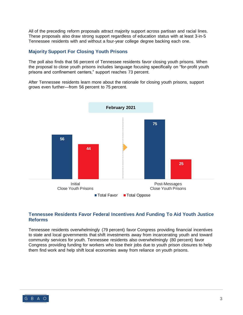All of the preceding reform proposals attract majority support across partisan and racial lines. These proposals also draw strong support regardless of education status with at least 3-in-5 Tennessee residents with and without a four-year college degree backing each one.

#### **Majority Support For Closing Youth Prisons**

The poll also finds that 56 percent of Tennessee residents favor closing youth prisons. When the proposal to close youth prisons includes language focusing specifically on "for-profit youth prisons and confinement centers," support reaches 73 percent.

After Tennessee residents learn more about the rationale for closing youth prisons, support grows even further—from 56 percent to 75 percent.



### **Tennessee Residents Favor Federal Incentives And Funding To Aid Youth Justice Reforms**

Tennessee residents overwhelmingly (79 percent) favor Congress providing financial incentives to state and local governments that shift investments away from incarcerating youth and toward community services for youth. Tennessee residents also overwhelmingly (80 percent) favor Congress providing funding for workers who lose their jobs due to youth prison closures to help them find work and help shift local economies away from reliance on youth prisons.

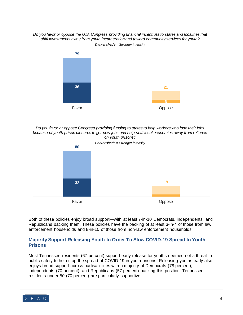#### *Do you favor or oppose the U.S. Congress providing financial incentives to states and localities that shift investments away from youth incarceration and toward community services for youth? Darker shade = Stronger intensity*



*Do you favor or oppose Congress providing funding to states to help workers who lose their jobs because of youth prison closures to get new jobs and help shift local economies away from reliance on youth prisons?* 



Both of these policies enjoy broad support—with at least 7-in-10 Democrats, independents, and Republicans backing them. These policies have the backing of at least 3-in-4 of those from law enforcement households and 8-in-10 of those from non-law enforcement households.

# **Majority Support Releasing Youth In Order To Slow COVID-19 Spread In Youth Prisons**

Most Tennessee residents (67 percent) support early release for youths deemed not a threat to public safety to help stop the spread of COVID-19 in youth prisons. Releasing youths early also enjoys broad support across partisan lines with a majority of Democrats (78 percent), independents (70 percent), and Republicans (57 percent) backing this position. Tennessee residents under 50 (70 percent) are particularly supportive.

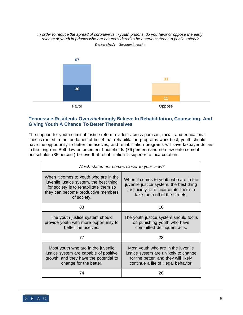*In order to reduce the spread of coronavirus in youth prisons, do you favor or oppose the early release of youth in prisons who are not considered to be a serious threat to public safety? Darker shade = Stronger intensity*



# **Tennessee Residents Overwhelmingly Believe In Rehabilitation, Counseling, And Giving Youth A Chance To Better Themselves**

The support for youth criminal justice reform evident across partisan, racial, and educational lines is rooted in the fundamental belief that rehabilitation programs work best, youth should have the opportunity to better themselves, and rehabilitation programs will save taxpayer dollars in the long run. Both law enforcement households (76 percent) and non-law enforcement households (85 percent) believe that rehabilitation is superior to incarceration.

| Which statement comes closer to your view?                                                                                                                                      |                                                                                                                                                             |
|---------------------------------------------------------------------------------------------------------------------------------------------------------------------------------|-------------------------------------------------------------------------------------------------------------------------------------------------------------|
| When it comes to youth who are in the<br>juvenile justice system, the best thing<br>for society is to rehabilitate them so<br>they can become productive members<br>of society. | When it comes to youth who are in the<br>juvenile justice system, the best thing<br>for society is to incarcerate them to<br>take them off of the streets.  |
| 83                                                                                                                                                                              | 16                                                                                                                                                          |
| The youth justice system should<br>provide youth with more opportunity to<br>better themselves.                                                                                 | The youth justice system should focus<br>on punishing youth who have<br>committed delinquent acts.                                                          |
| 77                                                                                                                                                                              | 23                                                                                                                                                          |
| Most youth who are in the juvenile<br>justice system are capable of positive<br>growth, and they have the potential to<br>change for the better.                                | Most youth who are in the juvenile<br>justice system are unlikely to change<br>for the better, and they will likely<br>continue a life of illegal behavior. |
| 74                                                                                                                                                                              | 26                                                                                                                                                          |